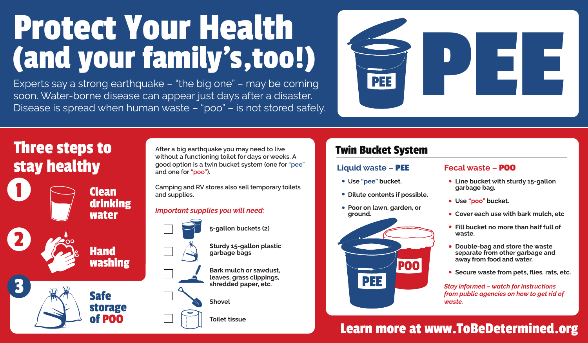# Protect Your Health (and your family's, too!)

Experts say a strong earthquake – "the big one" – may be coming soon. Water-borne disease can appear just days after a disaster. Disease is spread when human waste – "poo" – is not stored safely.



# Three steps to stay healthy

2

1

3

Clean **drinking** water

**Hand** 

Safe

storage of POO

washing

**After a big earthquake you may need to live without a functioning toilet for days or weeks. A good option is a twin bucket system (one for "pee" and one for "poo").**

**Camping and RV stores also sell temporary toilets and supplies.**

### *Important supplies you will need:*



**5-gallon buckets (2)**

**Sturdy 15-gallon plastic garbage bags**

**Bark mulch or sawdust, leaves, grass clippings, shredded paper, etc.**

#### **Shovel**

**Toilet tissue**

### Twin Bucket System

### **Liquid waste – PEE**

**Use "pee" bucket.**

PEE

- **Dilute contents if possible.**
- **Poor on lawn, garden, or ground.**

POO



- **Line bucket with sturdy 15-gallon garbage bag.**
- **Use "poo" bucket.**
- **Cover each use with bark mulch, etc**
- **Fill bucket no more than half full of waste.**
- **Double-bag and store the waste separate from other garbage and away from food and water.**
- **Secure waste from pets, flies, rats, etc.**

*Stay informed – watch for instructions from public agencies on how to get rid of waste.*

## Learn more at www.ToBeDetermined.org